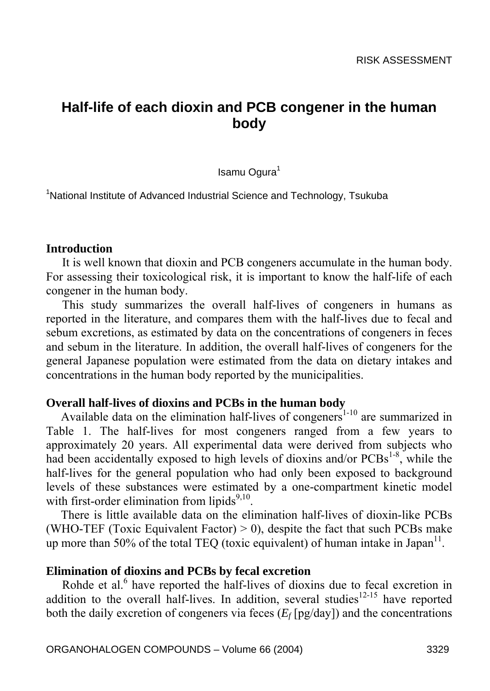# **Half-life of each dioxin and PCB congener in the human body**

Isamu Ogura<sup>1</sup>

<sup>1</sup>National Institute of Advanced Industrial Science and Technology, Tsukuba

#### **Introduction**

It is well known that dioxin and PCB congeners accumulate in the human body. For assessing their toxicological risk, it is important to know the half-life of each congener in the human body.

This study summarizes the overall half-lives of congeners in humans as reported in the literature, and compares them with the half-lives due to fecal and sebum excretions, as estimated by data on the concentrations of congeners in feces and sebum in the literature. In addition, the overall half-lives of congeners for the general Japanese population were estimated from the data on dietary intakes and concentrations in the human body reported by the municipalities.

#### **Overall half-lives of dioxins and PCBs in the human body**

Available data on the elimination half-lives of congeners<sup>1-10</sup> are summarized in Table 1. The half-lives for most congeners ranged from a few years to approximately 20 years. All experimental data were derived from subjects who had been accidentally exposed to high levels of dioxins and/or  $PCBs^{1.8}$ , while the half-lives for the general population who had only been exposed to background levels of these substances were estimated by a one-compartment kinetic model with first-order elimination from lipids $9,10$ .

There is little available data on the elimination half-lives of dioxin-like PCBs (WHO-TEF (Toxic Equivalent Factor)  $> 0$ ), despite the fact that such PCBs make up more than 50% of the total TEQ (toxic equivalent) of human intake in Japan $^{11}$ .

### **Elimination of dioxins and PCBs by fecal excretion**

Rohde et al.<sup>6</sup> have reported the half-lives of dioxins due to fecal excretion in addition to the overall half-lives. In addition, several studies<sup>12-15</sup> have reported both the daily excretion of congeners via feces  $(E_f[pg/day])$  and the concentrations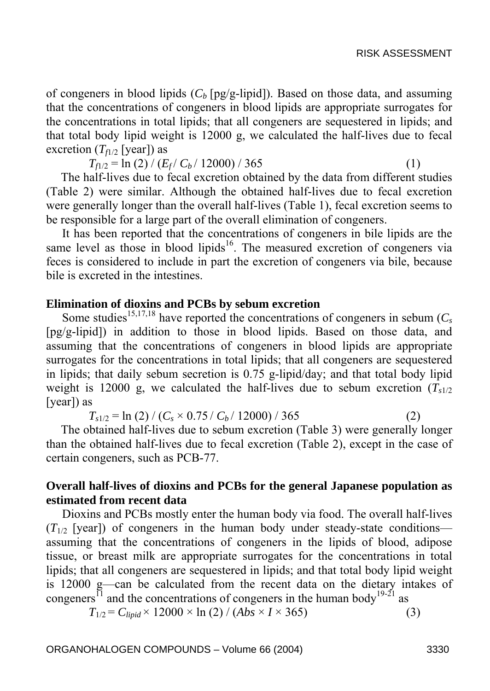of congeners in blood lipids  $(C_b$  [pg/g-lipid]). Based on those data, and assuming that the concentrations of congeners in blood lipids are appropriate surrogates for the concentrations in total lipids; that all congeners are sequestered in lipids; and that total body lipid weight is 12000 g, we calculated the half-lives due to fecal excretion  $(T_{f1/2}$  [year]) as

 $T_{f1/2} = \ln(2) / (E_f / C_b / 12000) / 365$  (1)

The half-lives due to fecal excretion obtained by the data from different studies (Table 2) were similar. Although the obtained half-lives due to fecal excretion were generally longer than the overall half-lives (Table 1), fecal excretion seems to be responsible for a large part of the overall elimination of congeners.

It has been reported that the concentrations of congeners in bile lipids are the same level as those in blood lipids<sup>16</sup>. The measured excretion of congeners via feces is considered to include in part the excretion of congeners via bile, because bile is excreted in the intestines.

### **Elimination of dioxins and PCBs by sebum excretion**

Some studies<sup>15,17,18</sup> have reported the concentrations of congeners in sebum  $(C_s)$ [pg/g-lipid]) in addition to those in blood lipids. Based on those data, and assuming that the concentrations of congeners in blood lipids are appropriate surrogates for the concentrations in total lipids; that all congeners are sequestered in lipids; that daily sebum secretion is 0.75 g-lipid/day; and that total body lipid weight is 12000 g, we calculated the half-lives due to sebum excretion  $(T_{s1/2})$ [year]) as

 $T_{s1/2} = \ln(2) / (C_s \times 0.75 / C_b / 12000) / 365$  (2)

The obtained half-lives due to sebum excretion (Table 3) were generally longer than the obtained half-lives due to fecal excretion (Table 2), except in the case of certain congeners, such as PCB-77.

## **Overall half-lives of dioxins and PCBs for the general Japanese population as estimated from recent data**

Dioxins and PCBs mostly enter the human body via food. The overall half-lives  $(T_{1/2}$  [year]) of congeners in the human body under steady-state conditions assuming that the concentrations of congeners in the lipids of blood, adipose tissue, or breast milk are appropriate surrogates for the concentrations in total lipids; that all congeners are sequestered in lipids; and that total body lipid weight is 12000 g—can be calculated from the recent data on the dietary intakes of congeners<sup>11</sup> and the concentrations of congeners in the human body<sup>19-21</sup> as

$$
T_{1/2} = C_{lipid} \times 12000 \times \ln(2) / (Abs \times I \times 365)
$$
 (3)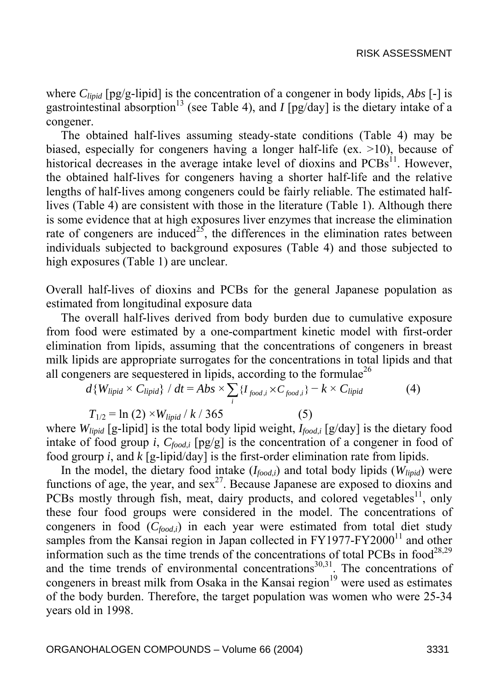where *Clipid* [pg/g-lipid] is the concentration of a congener in body lipids, *Abs* [-] is gastrointestinal absorption<sup>13</sup> (see Table 4), and *I* [pg/day] is the dietary intake of a congener.

The obtained half-lives assuming steady-state conditions (Table 4) may be biased, especially for congeners having a longer half-life (ex. >10), because of historical decreases in the average intake level of dioxins and  $PCBs<sup>11</sup>$ . However, the obtained half-lives for congeners having a shorter half-life and the relative lengths of half-lives among congeners could be fairly reliable. The estimated halflives (Table 4) are consistent with those in the literature (Table 1). Although there is some evidence that at high exposures liver enzymes that increase the elimination rate of congeners are induced<sup>25</sup>, the differences in the elimination rates between individuals subjected to background exposures (Table 4) and those subjected to high exposures (Table 1) are unclear.

Overall half-lives of dioxins and PCBs for the general Japanese population as estimated from longitudinal exposure data

The overall half-lives derived from body burden due to cumulative exposure from food were estimated by a one-compartment kinetic model with first-order elimination from lipids, assuming that the concentrations of congeners in breast milk lipids are appropriate surrogates for the concentrations in total lipids and that all congeners are sequestered in lipids, according to the formulae<sup>26</sup>

$$
d\{W_{lipid} \times C_{lipid}\} / dt = Abs \times \sum_{i} \{I_{food,i} \times C_{food,i}\} - k \times C_{lipid}
$$
 (4)  

$$
T_{1/2} = \ln(2) \times W_{lipid} / k / 365
$$
 (5)

where  $W_{\text{linid}}$  [g-lipid] is the total body lipid weight,  $I_{\text{food}}$  [g/day] is the dietary food intake of food group *i*,  $C_{food,i}$  [pg/g] is the concentration of a congener in food of food grourp *i*, and *k* [g-lipid/day] is the first-order elimination rate from lipids.

In the model, the dietary food intake  $(I_{food,i})$  and total body lipids  $(W_{lind})$  were functions of age, the year, and sex<sup>27</sup>. Because Japanese are exposed to dioxins and PCBs mostly through fish, meat, dairy products, and colored vegetables<sup>11</sup>, only these four food groups were considered in the model. The concentrations of congeners in food  $(C_{food,i})$  in each year were estimated from total diet study samples from the Kansai region in Japan collected in  $FY1977-FY2000<sup>11</sup>$  and other information such as the time trends of the concentrations of total PCBs in food<sup>28,29</sup> and the time trends of environmental concentrations<sup>30,31</sup>. The concentrations of congeners in breast milk from Osaka in the Kansai region $19$  were used as estimates of the body burden. Therefore, the target population was women who were 25-34 years old in 1998.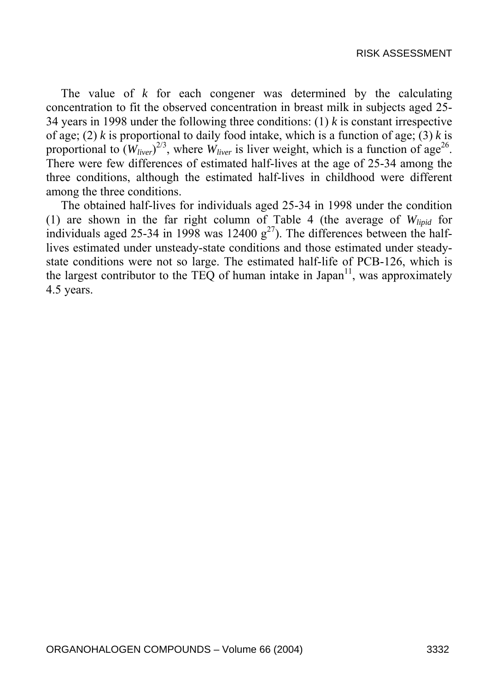The value of *k* for each congener was determined by the calculating concentration to fit the observed concentration in breast milk in subjects aged 25- 34 years in 1998 under the following three conditions: (1) *k* is constant irrespective of age; (2) *k* is proportional to daily food intake, which is a function of age; (3) *k* is proportional to  $(W_{liver})^{2/3}$ , where  $W_{liver}$  is liver weight, which is a function of age<sup>26</sup>. There were few differences of estimated half-lives at the age of 25-34 among the three conditions, although the estimated half-lives in childhood were different among the three conditions.

The obtained half-lives for individuals aged 25-34 in 1998 under the condition (1) are shown in the far right column of Table 4 (the average of *Wlipid* for individuals aged 25-34 in 1998 was 12400  $g^{27}$ ). The differences between the halflives estimated under unsteady-state conditions and those estimated under steadystate conditions were not so large. The estimated half-life of PCB-126, which is the largest contributor to the TEQ of human intake in Japan $11$ , was approximately 4.5 years.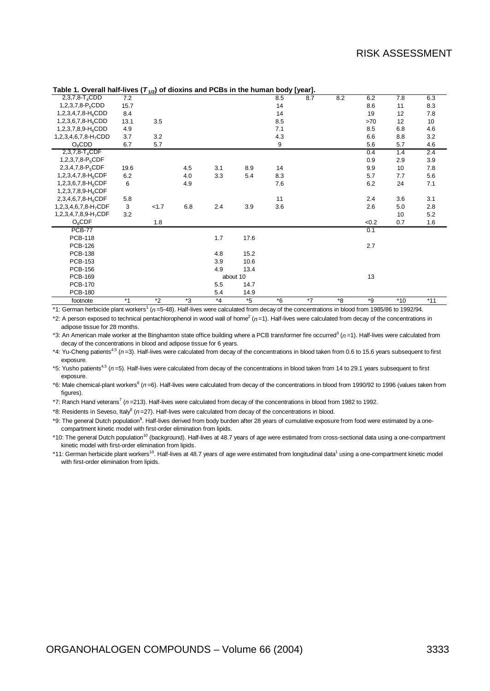| Table 1. Overall Hall-fives (142) OF GIOAINS and FODS IN the Human body [year]. |      |         |     |         |          |      |     |         |      |       |       |
|---------------------------------------------------------------------------------|------|---------|-----|---------|----------|------|-----|---------|------|-------|-------|
| 2,3,7,8-T <sub>4</sub> CDD                                                      | 7.2  |         |     |         |          | 8.5  | 8.7 | 8.2     | 6.2  | 7.8   | 6.3   |
| 1,2,3,7,8- $P_5$ CDD                                                            | 15.7 |         |     |         |          | 14   |     |         | 8.6  | 11    | 8.3   |
| 1,2,3,4,7,8-H <sub>6</sub> CDD                                                  | 8.4  |         |     |         |          | 14   |     |         | 19   | 12    | 7.8   |
| 1,2,3,6,7,8-H <sub>6</sub> CDD                                                  | 13.1 | 3.5     |     |         |          | 8.5  |     |         | >70  | 12    | 10    |
| 1,2,3,7,8,9-H <sub>6</sub> CDD                                                  | 4.9  |         |     |         |          | 7.1  |     |         | 8.5  | 6.8   | 4.6   |
| 1,2,3,4,6,7,8-H <sub>7</sub> CDD                                                | 3.7  | 3.2     |     |         |          | 4.3  |     |         | 6.6  | 8.8   | 3.2   |
| $O_8$ CDD                                                                       | 6.7  | 5.7     |     |         |          | 9    |     |         | 5.6  | 5.7   | 4.6   |
| 2,3,7,8-T <sub>4</sub> CDF                                                      |      |         |     |         |          |      |     |         | 0.4  | 1.4   | 2.4   |
| 1,2,3,7,8-P <sub>5</sub> CDF                                                    |      |         |     |         |          |      |     |         | 0.9  | 2.9   | 3.9   |
| 2,3,4,7,8-P <sub>5</sub> CDF                                                    | 19.6 |         | 4.5 | 3.1     | 8.9      | 14   |     |         | 9.9  | 10    | 7.8   |
| 1,2,3,4,7,8-H <sub>6</sub> CDF                                                  | 6.2  |         | 4.0 | 3.3     | 5.4      | 8.3  |     |         | 5.7  | 7.7   | 5.6   |
| 1,2,3,6,7,8-H <sub>6</sub> CDF                                                  | 6    |         | 4.9 |         |          | 7.6  |     |         | 6.2  | 24    | 7.1   |
| 1,2,3,7,8,9-H <sub>6</sub> CDF                                                  |      |         |     |         |          |      |     |         |      |       |       |
| 2,3,4,6,7,8-H <sub>6</sub> CDF                                                  | 5.8  |         |     |         |          | 11   |     |         | 2.4  | 3.6   | 3.1   |
| 1,2,3,4,6,7,8-H <sub>7</sub> CDF                                                | 3    | 1.7     | 6.8 | 2.4     | 3.9      | 3.6  |     |         | 2.6  | 5.0   | 2.8   |
| 1,2,3,4,7,8,9-H <sub>7</sub> CDF                                                | 3.2  |         |     |         |          |      |     |         |      | 10    | 5.2   |
| $O_8$ CDF                                                                       |      | 1.8     |     |         |          |      |     |         | <0.2 | 0.7   | 1.6   |
| <b>PCB-77</b>                                                                   |      |         |     |         |          |      |     |         | 0.1  |       |       |
| <b>PCB-118</b>                                                                  |      |         |     | 1.7     | 17.6     |      |     |         |      |       |       |
| <b>PCB-126</b>                                                                  |      |         |     |         |          |      |     |         | 2.7  |       |       |
| <b>PCB-138</b>                                                                  |      |         |     | 4.8     | 15.2     |      |     |         |      |       |       |
| <b>PCB-153</b>                                                                  |      |         |     | 3.9     | 10.6     |      |     |         |      |       |       |
| <b>PCB-156</b>                                                                  |      |         |     | 4.9     | 13.4     |      |     |         |      |       |       |
| <b>PCB-169</b>                                                                  |      |         |     |         | about 10 |      |     |         | 13   |       |       |
| <b>PCB-170</b>                                                                  |      |         |     | 5.5     | 14.7     |      |     |         |      |       |       |
| <b>PCB-180</b>                                                                  |      |         |     | 5.4     | 14.9     |      |     |         |      |       |       |
| footnote                                                                        | $*1$ | $*_{2}$ | *3  | $*_{4}$ | $*5$     | $*6$ | *7  | $*_{8}$ | $*g$ | $*10$ | $*11$ |

#### **Table 1. Overall half-lives (***T***1/2) of dioxins and PCBs in the human body [year].**

\*1: German herbicide plant workers<sup>1</sup> (n=5-48). Half-lives were calculated from decay of the concentrations in blood from 1985/86 to 1992/94.

\*2: A person exposed to technical pentachlorophenol in wood wall of home<sup>2</sup> (n=1). Half-lives were calculated from decay of the concentrations in adipose tissue for 28 months.

\*3: An American male worker at the Binghamton state office building where a PCB transformer fire occurred<sup>3</sup> (*n*=1). Half-lives were calculated from decay of the concentrations in blood and adipose tissue for 6 years.

\*4: Yu-Cheng patients4,5 (*n* =3). Half-lives were calculated from decay of the concentrations in blood taken from 0.6 to 15.6 years subsequent to first exposure.

\*5: Yusho patients<sup>4,5</sup> (n=5). Half-lives were calculated from decay of the concentrations in blood taken from 14 to 29.1 years subsequent to first exposure.

\*6: Male chemical-plant workers<sup>6</sup> (*n*=6). Half-lives were calculated from decay of the concentrations in blood from 1990/92 to 1996 (values taken from figures).

\*7: Ranch Hand veterans<sup>7</sup> (n=213). Half-lives were calculated from decay of the concentrations in blood from 1982 to 1992.

\*8: Residents in Seveso, Italy8 (*n* =27). Half-lives were calculated from decay of the concentrations in blood.

\*9: The general Dutch population<sup>9</sup>. Half-lives derived from body burden after 28 years of cumulative exposure from food were estimated by a onecompartment kinetic model with first-order elimination from lipids.

\*10: The general Dutch population<sup>10</sup> (background). Half-lives at 48.7 years of age were estimated from cross-sectional data using a one-compartment kinetic model with first-order elimination from lipids.

\*11: German herbicide plant workers<sup>10</sup>. Half-lives at 48.7 years of age were estimated from longitudinal data<sup>1</sup> using a one-compartment kinetic model with first-order elimination from lipids.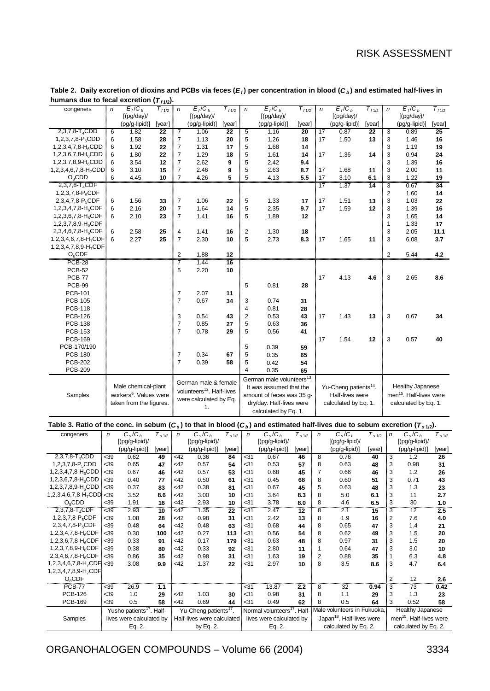| congeners                                                                                                                                                       | $\sqrt{n}$       | $E_f/C_b$                            | $\overline{T}_{f1/2}$ | $\sqrt{n}$              | $E_f/C_b$                             | $\overline{T}_{f1/2}$ | $\sqrt{n}$              | $E_f/C_b$                                                       | $T_{f1/2}$      | $\sqrt{n}$              | $E_f/C_b$                             | $T_{f1/2}$              | $\sqrt{n}$                | $E_f/C_b$                           | $T_{f1/2}$ |
|-----------------------------------------------------------------------------------------------------------------------------------------------------------------|------------------|--------------------------------------|-----------------------|-------------------------|---------------------------------------|-----------------------|-------------------------|-----------------------------------------------------------------|-----------------|-------------------------|---------------------------------------|-------------------------|---------------------------|-------------------------------------|------------|
|                                                                                                                                                                 |                  | [(pg/day)/                           |                       |                         | [(pg/day)/                            |                       |                         | [(pg/day)/                                                      |                 |                         | [(pg/day)/                            |                         |                           | [(pg/day)/                          |            |
|                                                                                                                                                                 |                  | (pg/g-lipid)]                        | [year]                |                         | (pg/g-lipid)]                         | [year]                |                         | (pg/g-lipid)]                                                   | [year]          |                         | (pg/g-lipid)]                         | [year]                  |                           | (pg/g-lipid)]                       | [year]     |
| $2,3,7,8-T4$ CDD                                                                                                                                                | 6                | 1.82                                 | 22                    | 7                       | 1.06                                  | 22                    | 5                       | 1.16                                                            | 20              | 17                      | 0.87                                  | 22                      | 3                         | 0.89                                | 25         |
| 1,2,3,7,8-P <sub>5</sub> CDD                                                                                                                                    | 6                | 1.58                                 | 28                    | 7                       | 1.13                                  | 20                    | 5                       | 1.26                                                            | 18              | 17                      | 1.50                                  | 13                      | 3                         | 1.46                                | 16         |
| 1,2,3,4,7,8- $H_6CDD$                                                                                                                                           | 6                | 1.92                                 | 22                    | $\overline{7}$          | 1.31                                  | 17                    | 5                       | 1.68                                                            | 14              |                         |                                       |                         | 3                         | 1.19                                | 19         |
| 1,2,3,6,7,8- $H_6$ CDD                                                                                                                                          | 6                | 1.80                                 | 22                    | 7                       | 1.29                                  | 18                    | 5                       | 1.61                                                            | 14              | 17                      | 1.36                                  | 14                      | 3                         | 0.94                                | 24         |
| 1,2,3,7,8,9-H <sub>6</sub> CDD                                                                                                                                  | 6                | 3.54                                 | 12                    | 7                       | 2.62                                  | 9                     | 5                       | 2.42                                                            | 9.4             |                         |                                       |                         | 3                         | 1.39                                | 16         |
|                                                                                                                                                                 |                  |                                      |                       | $\overline{7}$          |                                       |                       |                         |                                                                 |                 |                         |                                       |                         |                           |                                     |            |
| 1,2,3,4,6,7,8-H <sub>7</sub> CDD                                                                                                                                | 6                | 3.10                                 | 15                    |                         | 2.46                                  | 9                     | 5                       | 2.63                                                            | 8.7             | 17                      | 1.68                                  | 11                      | 3                         | 2.00                                | 11         |
| $O_8$ CDD                                                                                                                                                       | 6                | 4.45                                 | 10                    | 7                       | 4.26                                  | 5                     | 5                       | 4.13                                                            | 5.5             | 17                      | 3.10                                  | 6.1                     | 3                         | 1.22                                | 19         |
| 2,3,7,8-T <sub>4</sub> CDF                                                                                                                                      |                  |                                      |                       |                         |                                       |                       |                         |                                                                 |                 | $\overline{17}$         | 1.37                                  | 14                      | $\overline{\overline{3}}$ | 0.67                                | 34         |
| 1,2,3,7,8-P <sub>5</sub> CDF                                                                                                                                    |                  |                                      |                       |                         |                                       |                       |                         |                                                                 |                 |                         |                                       |                         | $\overline{\mathbf{c}}$   | 1.60                                | 14         |
| 2,3,4,7,8- $P_5$ CDF                                                                                                                                            | 6                | 1.56                                 | 33                    | $\overline{7}$          | 1.06                                  | 22                    | 5                       | 1.33                                                            | 17              | 17                      | 1.51                                  | 13                      | 3                         | 1.03                                | 22         |
| 1,2,3,4,7,8-H <sub>6</sub> CDF                                                                                                                                  | 6                | 2.16                                 | 20                    | $\overline{7}$          | 1.64                                  | 14                    | 5                       | 2.35                                                            | 9.7             | 17                      | 1.59                                  | 12                      | 3                         | 1.39                                | 16         |
| 1,2,3,6,7,8-H <sub>6</sub> CDF                                                                                                                                  | 6                | 2.10                                 | 23                    | 7                       | 1.41                                  | 16                    | 5                       | 1.89                                                            | 12              |                         |                                       |                         | 3                         | 1.65                                | 14         |
| 1,2,3,7,8,9-H <sub>6</sub> CDF                                                                                                                                  |                  |                                      |                       |                         |                                       |                       |                         |                                                                 |                 |                         |                                       |                         | 1                         | 1.33                                | 17         |
| 2,3,4,6,7,8-H <sub>6</sub> CDF                                                                                                                                  | 6                | 2.58                                 | 25                    | 4                       | 1.41                                  | 16                    | $\overline{2}$          | 1.30                                                            | 18              |                         |                                       |                         | 3                         | 2.05                                | 11.1       |
| 1,2,3,4,6,7,8-H <sub>7</sub> CDF                                                                                                                                | 6                | 2.27                                 | 25                    | $\overline{7}$          | 2.30                                  | 10                    | 5                       | 2.73                                                            | 8.3             | 17                      | 1.65                                  | 11                      | 3                         | 6.08                                | 3.7        |
| 1,2,3,4,7,8,9-H <sub>7</sub> CDF                                                                                                                                |                  |                                      |                       |                         |                                       |                       |                         |                                                                 |                 |                         |                                       |                         |                           |                                     |            |
| $O_8$ CDF                                                                                                                                                       |                  |                                      |                       | 2                       | 1.88                                  | 12                    |                         |                                                                 |                 |                         |                                       |                         | 2                         | 5.44                                | 4.2        |
| <b>PCB-28</b>                                                                                                                                                   |                  |                                      |                       | $\overline{\mathbf{z}}$ | 1.44                                  | 16                    |                         |                                                                 |                 |                         |                                       |                         |                           |                                     |            |
| <b>PCB-52</b>                                                                                                                                                   |                  |                                      |                       | 5                       | 2.20                                  | 10                    |                         |                                                                 |                 |                         |                                       |                         |                           |                                     |            |
| <b>PCB-77</b>                                                                                                                                                   |                  |                                      |                       |                         |                                       |                       |                         |                                                                 |                 | 17                      | 4.13                                  | 4.6                     | 3                         | 2.65                                | 8.6        |
| <b>PCB-99</b>                                                                                                                                                   |                  |                                      |                       |                         |                                       |                       | 5                       | 0.81                                                            | 28              |                         |                                       |                         |                           |                                     |            |
| PCB-101                                                                                                                                                         |                  |                                      |                       | 7                       | 2.07                                  | 11                    |                         |                                                                 |                 |                         |                                       |                         |                           |                                     |            |
| <b>PCB-105</b>                                                                                                                                                  |                  |                                      |                       | $\overline{7}$          | 0.67                                  | 34                    | 3                       | 0.74                                                            | 31              |                         |                                       |                         |                           |                                     |            |
| <b>PCB-118</b>                                                                                                                                                  |                  |                                      |                       |                         |                                       |                       | 4                       | 0.81                                                            | 28              |                         |                                       |                         |                           |                                     |            |
|                                                                                                                                                                 |                  |                                      |                       | 3                       | 0.54                                  | 43                    | $\overline{\mathbf{c}}$ |                                                                 |                 | 17                      |                                       |                         |                           | 0.67                                | 34         |
| <b>PCB-126</b><br><b>PCB-138</b>                                                                                                                                |                  |                                      |                       | 7                       | 0.85                                  | 27                    | 5                       | 0.53<br>0.63                                                    | 43              |                         | 1.43                                  | 13                      | 3                         |                                     |            |
|                                                                                                                                                                 |                  |                                      |                       | $\overline{7}$          |                                       |                       |                         |                                                                 | 36              |                         |                                       |                         |                           |                                     |            |
| <b>PCB-153</b>                                                                                                                                                  |                  |                                      |                       |                         | 0.78                                  | 29                    | 5                       | 0.56                                                            | 41              |                         |                                       |                         |                           |                                     |            |
| <b>PCB-169</b>                                                                                                                                                  |                  |                                      |                       |                         |                                       |                       |                         |                                                                 |                 | 17                      | 1.54                                  | 12                      | 3                         | 0.57                                | 40         |
| PCB-170/190                                                                                                                                                     |                  |                                      |                       |                         |                                       |                       | 5                       | 0.39                                                            | 59              |                         |                                       |                         |                           |                                     |            |
| <b>PCB-180</b>                                                                                                                                                  |                  |                                      |                       | 7                       | 0.34                                  | 67                    | 5                       | 0.35                                                            | 65              |                         |                                       |                         |                           |                                     |            |
| <b>PCB-202</b>                                                                                                                                                  |                  |                                      |                       | $\overline{7}$          | 0.39                                  | 58                    | 5                       | 0.42                                                            | 54              |                         |                                       |                         |                           |                                     |            |
| <b>PCB-209</b>                                                                                                                                                  |                  |                                      |                       |                         |                                       |                       |                         |                                                                 |                 |                         |                                       |                         |                           |                                     |            |
|                                                                                                                                                                 |                  |                                      |                       |                         |                                       |                       | 4                       | 0.35                                                            | 65              |                         |                                       |                         |                           |                                     |            |
|                                                                                                                                                                 |                  |                                      |                       |                         |                                       |                       |                         |                                                                 |                 |                         |                                       |                         |                           |                                     |            |
|                                                                                                                                                                 |                  | Male chemical-plant                  |                       |                         | German male & female                  |                       |                         | German male volunteers <sup>13</sup><br>It was assumed that the |                 |                         |                                       |                         |                           | Healthy Japanese                    |            |
|                                                                                                                                                                 |                  |                                      |                       |                         | volunteers <sup>12</sup> . Half-lives |                       |                         |                                                                 |                 |                         | Yu-Cheng patients <sup>14</sup> .     |                         |                           |                                     |            |
| Samples                                                                                                                                                         |                  | workers <sup>6</sup> . Values were   |                       |                         | were calculated by Eq.                |                       |                         | amount of feces was 35 g-                                       |                 |                         | Half-lives were                       |                         |                           | men <sup>15</sup> . Half-lives were |            |
|                                                                                                                                                                 |                  | taken from the figures.              |                       |                         | 1.                                    |                       |                         | dry/day. Half-lives were                                        |                 |                         | calculated by Eq. 1.                  |                         |                           | calculated by Eq. 1.                |            |
|                                                                                                                                                                 |                  |                                      |                       |                         |                                       |                       |                         | calculated by Eq. 1.                                            |                 |                         |                                       |                         |                           |                                     |            |
|                                                                                                                                                                 |                  |                                      |                       |                         |                                       |                       |                         |                                                                 |                 |                         |                                       |                         |                           |                                     |            |
| Table 3. Ratio of the conc. in sebum (C <sub>s</sub> ) to that in blood (C <sub>b</sub> ) and estimated half-lives due to sebum excretion (T <sub>s1/2</sub> ). |                  |                                      |                       |                         |                                       |                       |                         |                                                                 |                 |                         |                                       |                         |                           |                                     |            |
| congeners                                                                                                                                                       | $\sqrt{n}$       | $C_s/C_h$<br>$[(pg/g-lipid)/$        | $T_{s\,1/2}$          | $\sqrt{n}$              | $C_s/C_h$                             | $T_{s1/2}$            | $\sqrt{n}$              | $C_s/C_h$<br>$[(pg/g-lipid)/$                                   | $T_{s1/2}$      | $\sqrt{n}$              | $C_s/C_h$<br>$[(pg/q-lipid)/$         | $\overline{T}_{s\,1/2}$ | $\sqrt{n}$                | $\overline{C_s/C_b}$                | $T_{s1/2}$ |
|                                                                                                                                                                 |                  |                                      |                       |                         | [(pg/g-lipid)/                        |                       |                         |                                                                 |                 |                         |                                       |                         |                           | [(pg/g-lipid)/                      |            |
|                                                                                                                                                                 |                  | (pg/g-lipid)]                        | [year]                |                         | (pg/g-lipid)]                         | [year]                |                         | (pg/g-lipid)]                                                   | [year]          |                         | (pg/g-lipid)]                         | [year]                  |                           | (pg/g-lipid)]                       | [year]     |
| $2,3,7,8-T_4CDD$                                                                                                                                                | -39              | 0.62                                 | 49                    | <42                     | 0.36                                  | 84                    | -31                     | 0.67                                                            | 46              | 8                       | 0.76                                  | 40                      | 3                         | 1.2                                 | 26         |
| 1,2,3,7,8-P <sub>5</sub> CDD                                                                                                                                    | $39$             | 0.65                                 | 47                    | <42                     | 0.57                                  | 54                    | $31$                    | 0.53                                                            | 57              | 8                       | 0.63                                  | 48                      | 3                         | 0.98                                | 31         |
| 1,2,3,4,7,8- $H_6$ CDD                                                                                                                                          | $39$             | 0.67                                 | 46                    | <42                     | 0.57                                  | 53                    | $31$                    | 0.68                                                            | 45              | 7                       | 0.66                                  | 46                      | 3                         | 1.2                                 | 26         |
| 1,2,3,6,7,8-H <sub>6</sub> CDD                                                                                                                                  | <39              | 0.40                                 | 77                    | <42                     | 0.50                                  | 61                    | -31                     | 0.45                                                            | 68              | 8                       | 0.60                                  | 51                      | 3                         | 0.71                                | 43         |
| 1,2,3,7,8,9-H <sub>6</sub> CDD                                                                                                                                  | $39$             | 0.37                                 | 83                    | <42                     | 0.38                                  | 81                    | $31$                    | 0.67                                                            | 45              | 5                       | 0.63                                  | 48                      | 3                         | 1.3                                 | 23         |
| $1,2,3,4,6,7,8-H7CDD 39$                                                                                                                                        |                  | 3.52                                 | 8.6                   | <42                     | 3.00                                  | 10                    | $31$                    | 3.64                                                            | 8.3             | 8                       | 5.0                                   | 6.1                     | 3                         | 11                                  | 2.7        |
| $O_8$ CDD                                                                                                                                                       | <39              | 1.91                                 | 16                    | <42                     | 2.93                                  | 10                    | <31                     | 3.78                                                            | 8.0             | 8                       | 4.6                                   | 6.5                     | 3                         | 30                                  | 1.0        |
| $2,3,7,8$ -T <sub>4</sub> CDF                                                                                                                                   | $\overline{<}39$ | 2.93                                 | 10                    | <42                     | 1.35                                  | 22                    | $31$                    | 2.47                                                            | $\overline{12}$ | 8                       | 2.1                                   | 15                      | $\overline{\overline{3}}$ | $\overline{12}$                     | 2.5        |
| 1,2,3,7,8-P <sub>5</sub> CDF                                                                                                                                    | -39              | 1.08                                 | 28                    | <42                     | 0.98                                  | 31                    | -31                     | 2.42                                                            | 13              | 8                       | 1.9                                   | 16                      | $\overline{\mathbf{c}}$   | 7.6                                 | 4.0        |
| $2,3,4,7,8-P_5CDF$                                                                                                                                              | <39              | 0.48                                 | 64                    | <42                     | 0.48                                  | 63                    | -31                     | 0.68                                                            | 44              | 8                       | 0.65                                  | 47                      | 3                         | 1.4                                 | 21         |
| 1,2,3,4,7,8- $H_6$ CDF                                                                                                                                          | $39$             | 0.30                                 | 100                   | $<$ 42                  | 0.27                                  | 113                   | $31$                    | 0.56                                                            | 54              | 8                       | 0.62                                  | 49                      | 3                         | 1.5                                 | 20         |
| 1,2,3,6,7,8- $H_6$ CDF                                                                                                                                          | -39              | 0.33                                 | 91                    | <42                     | 0.17                                  | 179                   | <31                     | 0.63                                                            | 48              | 8                       | 0.97                                  | 31                      | 3                         | 1.5                                 | ${\bf 20}$ |
| 1,2,3,7,8,9- $H_6$ CDF                                                                                                                                          | -39              | 0.38                                 | 80                    | <42                     | 0.33                                  | 92                    | -31                     | 2.80                                                            | 11              | 1                       | 0.64                                  | 47                      | 3                         | 3.0                                 | 10         |
| 2,3,4,6,7,8- $H_6$ CDF                                                                                                                                          | $39$             | 0.86                                 | 35                    | <42                     | 0.98                                  | 31                    | $31$                    | 1.63                                                            | 19              | 2                       | 0.88                                  | 35                      | 1                         | 6.3                                 | 4.8        |
| 1,2,3,4,6,7,8-H <sub>7</sub> CDF <39                                                                                                                            |                  | 3.08                                 | 9.9                   | <42                     | 1.37                                  | 22                    | $31$                    | 2.97                                                            | 10              | 8                       | 3.5                                   | 8.6                     | 3                         | 4.7                                 | 6.4        |
| 1,2,3,4,7,8,9-H <sub>7</sub> CDF                                                                                                                                |                  |                                      |                       |                         |                                       |                       |                         |                                                                 |                 |                         |                                       |                         |                           |                                     |            |
| $O_8$ CDF                                                                                                                                                       |                  |                                      |                       |                         |                                       |                       |                         |                                                                 |                 |                         |                                       |                         | $\overline{2}$            | 12                                  | 2.6        |
| <b>PCB-77</b>                                                                                                                                                   | $39$             | 26.9                                 | 1.1                   |                         |                                       |                       | $\overline{31}$         | 13.87                                                           | 2.2             | $\overline{\mathbf{8}}$ | $\overline{32}$                       | 0.94                    |                           | $\overline{73}$                     | 0.42       |
| <b>PCB-126</b>                                                                                                                                                  | $39$             | 1.0                                  | 29                    | <42                     | 1.03                                  | 30                    | $31$                    | 0.98                                                            | 31              | 8                       | 1.1                                   | 29                      | 3                         | 1.3                                 | 23         |
| <b>PCB-169</b>                                                                                                                                                  | $39$             | 0.5                                  | 58                    | <42                     | 0.69                                  | 44                    | <31                     | 0.49                                                            | 62              | 8                       | 0.5                                   | 64                      | 3                         | 0.52                                | 58         |
|                                                                                                                                                                 |                  | Yusho patients <sup>17</sup> . Half- |                       |                         | Yu-Cheng patients <sup>17</sup> .     |                       |                         | Normal volunteers <sup>17</sup> . Half-                         |                 |                         | Male volunteers in Fukuoka,           |                         |                           | Healthy Japanese                    |            |
| Samples                                                                                                                                                         |                  | lives were calculated by             |                       |                         | Half-lives were calculated            |                       |                         | lives were calculated by                                        |                 |                         | Japan <sup>18</sup> . Half-lives were |                         |                           | men <sup>15</sup> . Half-lives were |            |

**Table 2. Daily excretion of dioxins and PCBs via feces (***Ef* **) per concentration in blood (***C <sup>b</sup>* **) and estimated half-lives in** humans due to fecal excretion  $(T_{f1/2})$ .

ORGANOHALOGEN COMPOUNDS – Volume 66 (2004) 3334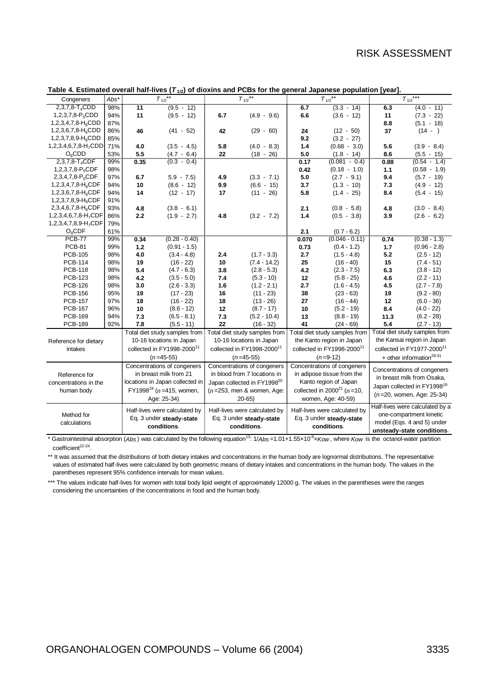| Congeners                        | $Abs*$                   | $T_{1/2}$ **                            |                                        |                          | $T_{1/2}$ **                           |                          | $T_{1/2}$ **                                          | $T_{1/2}$ ***              |                                         |  |
|----------------------------------|--------------------------|-----------------------------------------|----------------------------------------|--------------------------|----------------------------------------|--------------------------|-------------------------------------------------------|----------------------------|-----------------------------------------|--|
| $2,3,7,8$ -T <sub>4</sub> CDD    | 98%                      | $\overline{11}$                         | $(9.5 - 12)$                           |                          |                                        | 6.7                      | $(3.3 - 14)$                                          | 6.3                        | $(4.0 - 11)$                            |  |
| 1,2,3,7,8- $P_5$ CDD             | 94%                      | 11                                      | $(9.5 - 12)$                           | 6.7                      | $(4.9 - 9.6)$                          | 6.6                      | $(3.6 - 12)$                                          | 11                         | $(7.3 - 22)$                            |  |
| 1,2,3,4,7,8- $H_6$ CDD           | 87%                      |                                         |                                        |                          |                                        |                          |                                                       | 8.8                        | $(5.1 - 18)$                            |  |
| $1,2,3,6,7,8-H6$ CDD             | 86%                      | 46                                      | $(41 - 52)$                            | 42                       | $(29 - 60)$                            | 24                       | $(12 - 50)$                                           | 37                         | $(14 - )$                               |  |
| 1,2,3,7,8,9-H <sub>6</sub> CDD   | 85%                      |                                         |                                        |                          |                                        | 9.2                      | $(3.2 - 27)$                                          |                            |                                         |  |
| $1,2,3,4,6,7,8-H7CDD$            | 71%                      | 4.0                                     | $(3.5 - 4.5)$                          | 5.8                      | $(4.0 - 8.3)$                          | 1.4                      | $(0.68 - 3.0)$                                        | 5.6                        | $(3.9 - 8.4)$                           |  |
| $O_8$ CDD                        | 53%                      | 5.5                                     | $(4.7 - 6.4)$                          | 22                       | $(18 - 26)$                            | 5.0                      | $(1.8 - 14)$                                          | 8.6                        | $(5.5 - 15)$                            |  |
| 2,3,7,8-T <sub>4</sub> CDF       | 99%                      | 0.35                                    | $(0.3 - 0.4)$                          |                          |                                        | 0.17                     | $(0.081 - 0.4)$                                       | 0.88                       | $(0.54 - 1.4)$                          |  |
| 1,2,3,7,8-P <sub>5</sub> CDF     | 98%                      |                                         |                                        |                          |                                        | 0.42                     | $(0.18 - 1.0)$                                        | 1.1                        | $(0.58 - 1.9)$                          |  |
| 2,3,4,7,8-P <sub>5</sub> CDF     | 97%                      | 6.7                                     | $5.9 - 7.5$                            | 4.9                      | $(3.3 - 7.1)$                          | 5.0                      | $(2.7 - 9.1)$                                         | 9.4                        | $(5.7 - 19)$                            |  |
| 1,2,3,4,7,8- $H_6$ CDF           | 94%                      | 10                                      | $(8.6 - 12)$                           | 9.9                      | $(6.6 - 15)$                           | 3.7                      | $(1.3 - 10)$                                          | 7.3                        | $(4.9 - 12)$                            |  |
| $1,2,3,6,7,8-H6CDF$              | 94%                      | 14                                      | $(12 - 17)$                            | 17                       | $(11 - 26)$                            | 5.8                      | $(1.4 - 25)$                                          | 8.4                        | $(5.4 - 15)$                            |  |
| 1,2,3,7,8,9-H <sub>6</sub> CDF   | 91%                      |                                         |                                        |                          |                                        |                          |                                                       |                            |                                         |  |
| 2,3,4,6,7,8-H <sub>6</sub> CDF   | 93%                      | 4.8                                     | $(3.8 - 6.1)$                          |                          |                                        | 2.1                      | $(0.8 - 5.8)$                                         | 4.8                        | $(3.0 - 8.4)$                           |  |
| 1,2,3,4,6,7,8-H <sub>7</sub> CDF | 86%                      | 2.2                                     | $(1.9 - 2.7)$                          | 4.8                      | $(3.2 - 7.2)$                          | 1.4                      | $(0.5 - 3.8)$                                         | 3.9                        | $(2.6 - 6.2)$                           |  |
| 1,2,3,4,7,8,9-H <sub>7</sub> CDF | 79%                      |                                         |                                        |                          |                                        |                          |                                                       |                            |                                         |  |
| $O_8$ CDF                        | 61%                      |                                         |                                        |                          |                                        | 2.1                      | $(0.7 - 6.2)$                                         |                            |                                         |  |
| <b>PCB-77</b>                    | 99%                      | 0.34                                    | $(0.28 - 0.40)$                        |                          |                                        | 0.070                    | $(0.046 - 0.11)$                                      | 0.74                       | $(0.38 - 1.3)$                          |  |
| <b>PCB-81</b>                    | 99%                      | 1.2                                     | $(0.91 - 1.5)$                         |                          |                                        | 0.73                     | $(0.4 - 1.2)$                                         | 1.7                        | $(0.96 - 2.8)$                          |  |
| <b>PCB-105</b>                   | 98%                      | 4.0                                     | $(3.4 - 4.8)$                          | 2.4                      | $(1.7 - 3.3)$                          | 2.7                      | $(1.5 - 4.8)$                                         | 5.2                        | $(2.5 - 12)$                            |  |
| <b>PCB-114</b>                   | 98%                      | 19                                      | $(16 - 22)$                            | 10                       | $(7.4 - 14.2)$                         | 25                       | $(16 - 40)$                                           | 15                         | $(7.4 - 51)$                            |  |
| <b>PCB-118</b>                   | 98%                      | 5.4                                     | $(4.7 - 6.3)$                          | 3.8                      | $(2.8 - 5.3)$                          | 4.2                      | $(2.3 - 7.5)$                                         | 6.3                        | $(3.8 - 12)$                            |  |
| <b>PCB-123</b>                   | 98%                      | 4.2                                     | $(3.5 - 5.0)$                          | 7.4                      | $(5.3 - 10)$                           | 12                       | $(5.8 - 25)$                                          | 4.6                        | $(2.2 - 11)$                            |  |
| <b>PCB-126</b>                   | 98%                      | 3.0                                     | $(2.6 - 3.3)$                          | 1.6                      | $(1.2 - 2.1)$                          | 2.7                      | $(1.6 - 4.5)$                                         | 4.5                        | $(2.7 - 7.8)$                           |  |
| <b>PCB-156</b>                   | 95%                      | 19                                      | $(17 - 23)$                            | 16                       | $(11 - 23)$                            | 38                       | $(23 - 63)$                                           | 19                         | $(9.2 - 80)$                            |  |
| <b>PCB-157</b>                   | 97%                      | 18                                      | $(16 - 22)$                            | 18                       | $(13 - 26)$                            | 27                       | $(16 - 44)$                                           | 12                         | $(6.0 - 36)$                            |  |
| <b>PCB-167</b>                   | 96%                      | 10                                      | $(8.6 - 12)$                           | 12                       | $(8.7 - 17)$                           | 10                       | $(5.2 - 19)$                                          | 8.4                        | $(4.0 - 22)$                            |  |
| <b>PCB-169</b>                   | 94%                      | 7.3                                     | $(6.5 - 8.1)$                          | 7.3                      | $(5.2 - 10.4)$                         | 13                       | $(8.8 - 19)$                                          | 11.3                       | $(6.2 - 28)$                            |  |
| <b>PCB-189</b>                   | 92%                      | 7.8                                     | $(5.5 - 11)$                           | 22                       | $(16 - 32)$                            | 41                       | $(24 - 69)$                                           | 5.4                        | $(2.7 - 13)$                            |  |
|                                  |                          |                                         | Total diet study samples from          |                          | Total diet study samples from          |                          | Total diet study samples from                         |                            | Total diet study samples from           |  |
| Reference for dietary            |                          | 10-16 locations in Japan                |                                        |                          | 10-16 locations in Japan               |                          | the Kanto region in Japan                             | the Kansai region in Japan |                                         |  |
| intakes                          |                          |                                         | collected in FY1998-2000 <sup>11</sup> |                          | collected in FY1998-2000 <sup>11</sup> |                          | collected in FY1998-2000 <sup>11</sup>                |                            | collected in FY1977-2000 <sup>11</sup>  |  |
|                                  |                          | $(n=45-55)$                             |                                        |                          | $(n=45-55)$                            |                          | $(n=9-12)$                                            |                            | + other information <sup>28-31</sup>    |  |
|                                  |                          |                                         | Concentrations of congeners            |                          | Concentrations of congeners            |                          | Concentrations of congeners                           |                            |                                         |  |
| Reference for                    |                          | in breast milk from 21                  |                                        |                          | in blood from 7 locations in           |                          | in adipose tissue from the                            |                            | Concentrations of congeners             |  |
| concentrations in the            |                          | locations in Japan collected in         |                                        |                          | Japan collected in FY199820            |                          | Kanto region of Japan                                 |                            | in breast milk from Osaka,              |  |
|                                  |                          | FY1998 <sup>19</sup> ( $n=415$ , women, |                                        |                          | $(n=253,$ men & women, Age:            |                          | collected in 2000 <sup>21</sup> ( $n=10$ )            |                            | Japan collected in FY1998 <sup>19</sup> |  |
| human body                       |                          | Age: 25-34)                             |                                        |                          | $20 - 65$                              |                          | women, Age: 40-59)                                    |                            | $(n=20,$ women, Age: 25-34)             |  |
|                                  |                          |                                         |                                        |                          |                                        |                          |                                                       |                            | Half-lives were calculated by a         |  |
| Method for                       |                          |                                         | Half-lives were calculated by          |                          | Half-lives were calculated by          |                          | Half-lives were calculated by                         |                            |                                         |  |
|                                  | Eq. 3 under steady-state |                                         |                                        | Eq. 3 under steady-state |                                        | Eq. 3 under steady-state | one-compartment kinetic<br>model (Eqs. 4 and 5) under |                            |                                         |  |
| calculations                     |                          |                                         | conditions.                            |                          | conditions.                            |                          | conditions.                                           |                            |                                         |  |
|                                  |                          |                                         |                                        |                          |                                        |                          |                                                       |                            | unsteady-state conditions.              |  |

#### **Table 4. Estimated overall half-lives (***T***1/2) of dioxins and PCBs for the general Japanese population [year].**

\* Gastrointestinal absorption (*Abs* ) was calculated by the following equation13: 1/*Abs* =1.01+1.55×10-9×*Kow* , where *Kow* is the octanol-water partition coefficient<sup>22-24</sup>.

\*\* It was assumed that the distributions of both dietary intakes and concentrations in the human body are lognormal distributions. The representative values of estimated half-lives were calculated by both geometric means of dietary intakes and concentrations in the human body. The values in the parentheses represent 95% confidence intervals for mean values.

\*\*\* The values indicate half-lives for women with total body lipid weight of approximately 12000 g. The values in the parentheses were the ranges considering the uncertainties of the concentrations in food and the human body.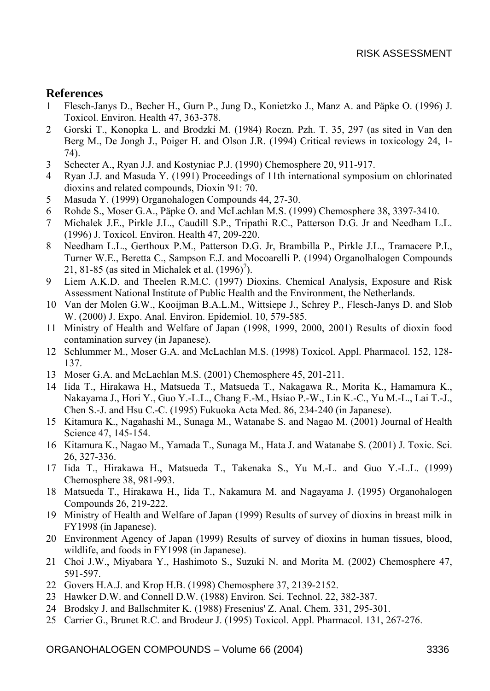### **References**

- 1 Flesch-Janys D., Becher H., Gurn P., Jung D., Konietzko J., Manz A. and Päpke O. (1996) J. Toxicol. Environ. Health 47, 363-378.
- 2 Gorski T., Konopka L. and Brodzki M. (1984) Roczn. Pzh. T. 35, 297 (as sited in Van den Berg M., De Jongh J., Poiger H. and Olson J.R. (1994) Critical reviews in toxicology 24, 1- 74).
- 3 Schecter A., Ryan J.J. and Kostyniac P.J. (1990) Chemosphere 20, 911-917.
- 4 Ryan J.J. and Masuda Y. (1991) Proceedings of 11th international symposium on chlorinated dioxins and related compounds, Dioxin '91: 70.
- 5 Masuda Y. (1999) Organohalogen Compounds 44, 27-30.
- 6 Rohde S., Moser G.A., Päpke O. and McLachlan M.S. (1999) Chemosphere 38, 3397-3410.
- 7 Michalek J.E., Pirkle J.L., Caudill S.P., Tripathi R.C., Patterson D.G. Jr and Needham L.L. (1996) J. Toxicol. Environ. Health 47, 209-220.
- 8 Needham L.L., Gerthoux P.M., Patterson D.G. Jr, Brambilla P., Pirkle J.L., Tramacere P.I., Turner W.E., Beretta C., Sampson E.J. and Mocoarelli P. (1994) Organolhalogen Compounds 21, 81-85 (as sited in Michalek et al.  $(1996)^7$ ).
- 9 Liem A.K.D. and Theelen R.M.C. (1997) Dioxins. Chemical Analysis, Exposure and Risk Assessment National Institute of Public Health and the Environment, the Netherlands.
- 10 Van der Molen G.W., Kooijman B.A.L.M., Wittsiepe J., Schrey P., Flesch-Janys D. and Slob W. (2000) J. Expo. Anal. Environ. Epidemiol. 10, 579-585.
- 11 Ministry of Health and Welfare of Japan (1998, 1999, 2000, 2001) Results of dioxin food contamination survey (in Japanese).
- 12 Schlummer M., Moser G.A. and McLachlan M.S. (1998) Toxicol. Appl. Pharmacol. 152, 128- 137.
- 13 Moser G.A. and McLachlan M.S. (2001) Chemosphere 45, 201-211.
- 14 Iida T., Hirakawa H., Matsueda T., Matsueda T., Nakagawa R., Morita K., Hamamura K., Nakayama J., Hori Y., Guo Y.-L.L., Chang F.-M., Hsiao P.-W., Lin K.-C., Yu M.-L., Lai T.-J., Chen S.-J. and Hsu C.-C. (1995) Fukuoka Acta Med. 86, 234-240 (in Japanese).
- 15 Kitamura K., Nagahashi M., Sunaga M., Watanabe S. and Nagao M. (2001) Journal of Health Science 47, 145-154.
- 16 Kitamura K., Nagao M., Yamada T., Sunaga M., Hata J. and Watanabe S. (2001) J. Toxic. Sci. 26, 327-336.
- 17 Iida T., Hirakawa H., Matsueda T., Takenaka S., Yu M.-L. and Guo Y.-L.L. (1999) Chemosphere 38, 981-993.
- 18 Matsueda T., Hirakawa H., Iida T., Nakamura M. and Nagayama J. (1995) Organohalogen Compounds 26, 219-222.
- 19 Ministry of Health and Welfare of Japan (1999) Results of survey of dioxins in breast milk in FY1998 (in Japanese).
- 20 Environment Agency of Japan (1999) Results of survey of dioxins in human tissues, blood, wildlife, and foods in FY1998 (in Japanese).
- 21 Choi J.W., Miyabara Y., Hashimoto S., Suzuki N. and Morita M. (2002) Chemosphere 47, 591-597.
- 22 Govers H.A.J. and Krop H.B. (1998) Chemosphere 37, 2139-2152.
- 23 Hawker D.W. and Connell D.W. (1988) Environ. Sci. Technol. 22, 382-387.
- 24 Brodsky J. and Ballschmiter K. (1988) Fresenius' Z. Anal. Chem. 331, 295-301.
- 25 Carrier G., Brunet R.C. and Brodeur J. (1995) Toxicol. Appl. Pharmacol. 131, 267-276.